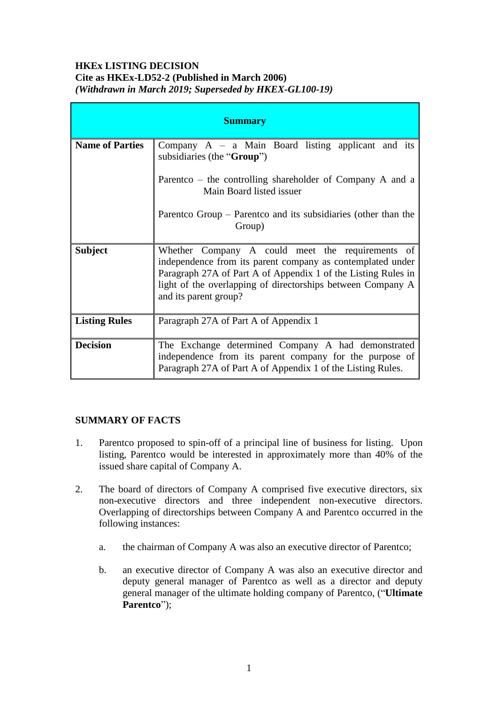#### **HKEx LISTING DECISION Cite as HKEx-LD52-2 (Published in March 2006)** *(Withdrawn in March 2019; Superseded by HKEX-GL100-19)*

| <b>Summary</b>         |                                                                                                                                                                                                                                                                         |
|------------------------|-------------------------------------------------------------------------------------------------------------------------------------------------------------------------------------------------------------------------------------------------------------------------|
| <b>Name of Parties</b> | Company $A - a$ Main Board listing applicant and its<br>subsidiaries (the "Group")                                                                                                                                                                                      |
|                        | Parentco – the controlling shareholder of Company A and a<br>Main Board listed issuer                                                                                                                                                                                   |
|                        | Parentco Group – Parentco and its subsidiaries (other than the<br>Group)                                                                                                                                                                                                |
| <b>Subject</b>         | Whether Company A could meet the requirements of<br>independence from its parent company as contemplated under<br>Paragraph 27A of Part A of Appendix 1 of the Listing Rules in<br>light of the overlapping of directorships between Company A<br>and its parent group? |
| <b>Listing Rules</b>   | Paragraph 27A of Part A of Appendix 1                                                                                                                                                                                                                                   |
| <b>Decision</b>        | The Exchange determined Company A had demonstrated<br>independence from its parent company for the purpose of<br>Paragraph 27A of Part A of Appendix 1 of the Listing Rules.                                                                                            |

# **SUMMARY OF FACTS**

- 1. Parentco proposed to spin-off of a principal line of business for listing. Upon listing, Parentco would be interested in approximately more than 40% of the issued share capital of Company A.
- 2. The board of directors of Company A comprised five executive directors, six non-executive directors and three independent non-executive directors. Overlapping of directorships between Company A and Parentco occurred in the following instances:
	- a. the chairman of Company A was also an executive director of Parentco;
	- b. an executive director of Company A was also an executive director and deputy general manager of Parentco as well as a director and deputy general manager of the ultimate holding company of Parentco, ("**Ultimate Parentco**");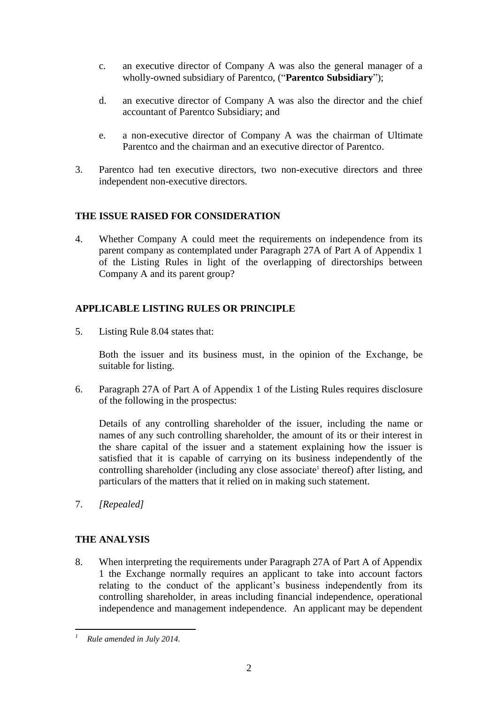- c. an executive director of Company A was also the general manager of a wholly-owned subsidiary of Parentco, ("**Parentco Subsidiary**");
- d. an executive director of Company A was also the director and the chief accountant of Parentco Subsidiary; and
- e. a non-executive director of Company A was the chairman of Ultimate Parentco and the chairman and an executive director of Parentco.
- 3. Parentco had ten executive directors, two non-executive directors and three independent non-executive directors.

#### **THE ISSUE RAISED FOR CONSIDERATION**

4. Whether Company A could meet the requirements on independence from its parent company as contemplated under Paragraph 27A of Part A of Appendix 1 of the Listing Rules in light of the overlapping of directorships between Company A and its parent group?

## **APPLICABLE LISTING RULES OR PRINCIPLE**

5. Listing Rule 8.04 states that:

Both the issuer and its business must, in the opinion of the Exchange, be suitable for listing.

6. Paragraph 27A of Part A of Appendix 1 of the Listing Rules requires disclosure of the following in the prospectus:

Details of any controlling shareholder of the issuer, including the name or names of any such controlling shareholder, the amount of its or their interest in the share capital of the issuer and a statement explaining how the issuer is satisfied that it is capable of carrying on its business independently of the controlling shareholder (including any close associate<sup>1</sup> thereof) after listing, and particulars of the matters that it relied on in making such statement.

7. *[Repealed]*

# **THE ANALYSIS**

8. When interpreting the requirements under Paragraph 27A of Part A of Appendix 1 the Exchange normally requires an applicant to take into account factors relating to the conduct of the applicant's business independently from its controlling shareholder, in areas including financial independence, operational independence and management independence. An applicant may be dependent

1

*<sup>1</sup> Rule amended in July 2014.*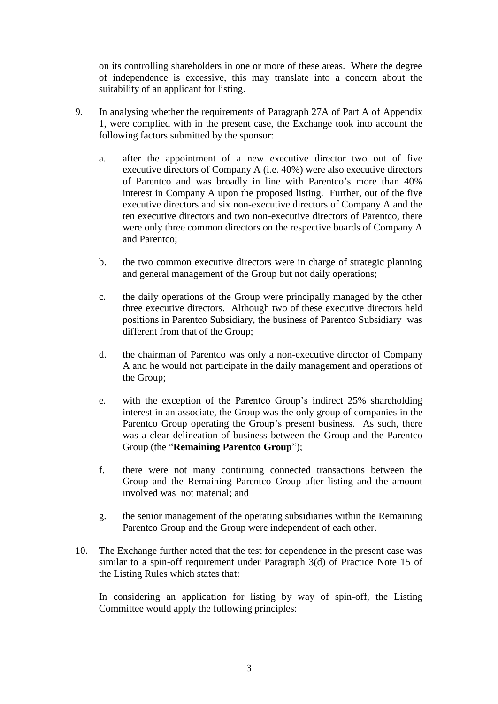on its controlling shareholders in one or more of these areas. Where the degree of independence is excessive, this may translate into a concern about the suitability of an applicant for listing.

- 9. In analysing whether the requirements of Paragraph 27A of Part A of Appendix 1, were complied with in the present case, the Exchange took into account the following factors submitted by the sponsor:
	- a. after the appointment of a new executive director two out of five executive directors of Company A (i.e. 40%) were also executive directors of Parentco and was broadly in line with Parentco's more than 40% interest in Company A upon the proposed listing. Further, out of the five executive directors and six non-executive directors of Company A and the ten executive directors and two non-executive directors of Parentco, there were only three common directors on the respective boards of Company A and Parentco;
	- b. the two common executive directors were in charge of strategic planning and general management of the Group but not daily operations;
	- c. the daily operations of the Group were principally managed by the other three executive directors. Although two of these executive directors held positions in Parentco Subsidiary, the business of Parentco Subsidiary was different from that of the Group;
	- d. the chairman of Parentco was only a non-executive director of Company A and he would not participate in the daily management and operations of the Group;
	- e. with the exception of the Parentco Group's indirect 25% shareholding interest in an associate, the Group was the only group of companies in the Parentco Group operating the Group's present business. As such, there was a clear delineation of business between the Group and the Parentco Group (the "**Remaining Parentco Group**");
	- f. there were not many continuing connected transactions between the Group and the Remaining Parentco Group after listing and the amount involved was not material; and
	- g. the senior management of the operating subsidiaries within the Remaining Parentco Group and the Group were independent of each other.
- 10. The Exchange further noted that the test for dependence in the present case was similar to a spin-off requirement under Paragraph 3(d) of Practice Note 15 of the Listing Rules which states that:

In considering an application for listing by way of spin-off, the Listing Committee would apply the following principles: